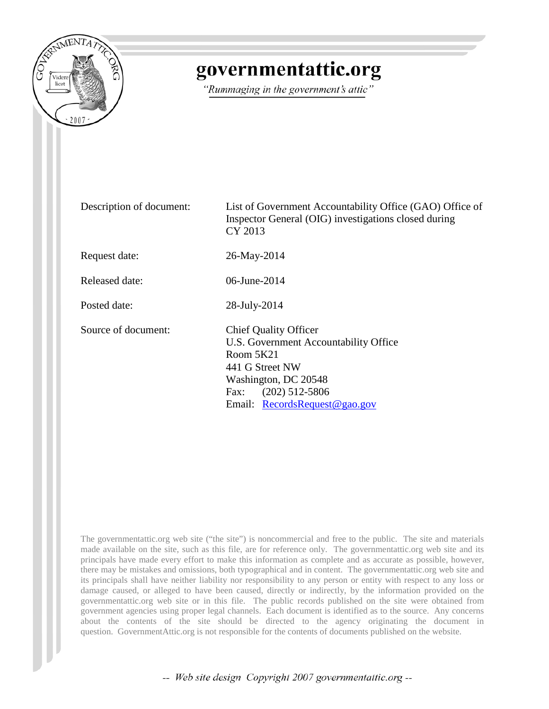

## governmentattic.org

"Rummaging in the government's attic"

| Description of document: | List of Government Accountability Office (GAO) Office of<br>Inspector General (OIG) investigations closed during<br>CY 2013                                                                   |
|--------------------------|-----------------------------------------------------------------------------------------------------------------------------------------------------------------------------------------------|
| Request date:            | 26-May-2014                                                                                                                                                                                   |
| Released date:           | 06-June-2014                                                                                                                                                                                  |
| Posted date:             | 28-July-2014                                                                                                                                                                                  |
| Source of document:      | <b>Chief Quality Officer</b><br>U.S. Government Accountability Office<br>Room 5K21<br>441 G Street NW<br>Washington, DC 20548<br>$(202)$ 512-5806<br>Fax:<br>Email: Records Request @ gao.gov |

The governmentattic.org web site ("the site") is noncommercial and free to the public. The site and materials made available on the site, such as this file, are for reference only. The governmentattic.org web site and its principals have made every effort to make this information as complete and as accurate as possible, however, there may be mistakes and omissions, both typographical and in content. The governmentattic.org web site and its principals shall have neither liability nor responsibility to any person or entity with respect to any loss or damage caused, or alleged to have been caused, directly or indirectly, by the information provided on the governmentattic.org web site or in this file. The public records published on the site were obtained from government agencies using proper legal channels. Each document is identified as to the source. Any concerns about the contents of the site should be directed to the agency originating the document in question. GovernmentAttic.org is not responsible for the contents of documents published on the website.

-- Web site design Copyright 2007 governmentattic.org --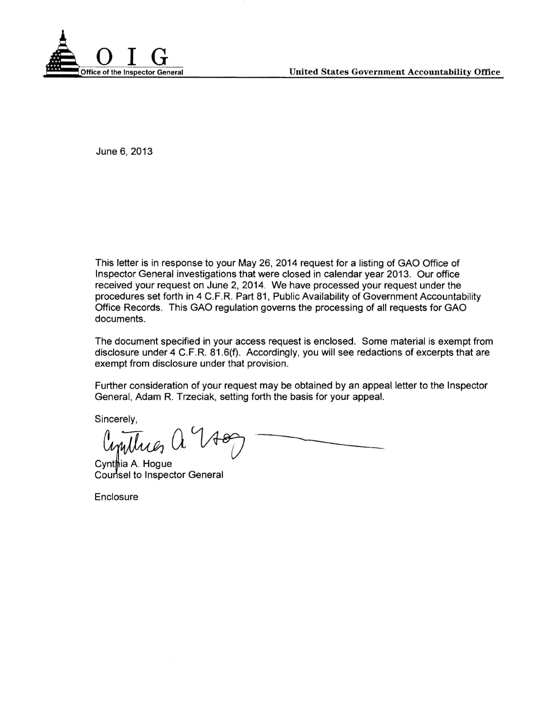

June 6, 2013

This letter is in response to your May 26, 2014 request for a listing of GAO Office of Inspector General investigations that were closed in calendar year 2013. Our office received your request on June 2, 2014. We have processed your request under the procedures set forth in 4 C.F.R. Part 81, Public Availability of Government Accountability Office Records. This GAO regulation governs the processing of all requests for GAO documents.

The document specified in your access request is enclosed. Some material is exempt from disclosure under 4 C.F.R. 81.6(f). Accordingly, you will see redactions of excerpts that are exempt from disclosure under that provision.

Further consideration of your request may be obtained by an appeal letter to the Inspector General, Adam R. Trzeciak, setting forth the basis for your appeal.

Sincerely,

 $a^{\nu}$ 

Cynthia A. Hogue Counsel to Inspector General

**Enclosure**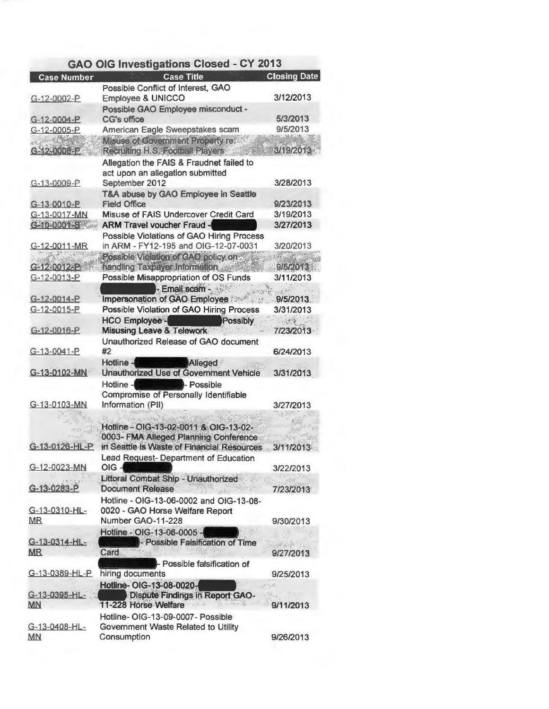| <b>Case Title</b><br>Possible Conflict of Interest, GAO<br><b>Employee &amp; UNICCO</b> | <b>Closing Date</b>                                                                                                                                                                                                                                                                                                                                                                                                                                                                                                                                                                                                                                                                                                                                                                                                                                                                                                                                                                                                                                                                                                                                                    |
|-----------------------------------------------------------------------------------------|------------------------------------------------------------------------------------------------------------------------------------------------------------------------------------------------------------------------------------------------------------------------------------------------------------------------------------------------------------------------------------------------------------------------------------------------------------------------------------------------------------------------------------------------------------------------------------------------------------------------------------------------------------------------------------------------------------------------------------------------------------------------------------------------------------------------------------------------------------------------------------------------------------------------------------------------------------------------------------------------------------------------------------------------------------------------------------------------------------------------------------------------------------------------|
|                                                                                         |                                                                                                                                                                                                                                                                                                                                                                                                                                                                                                                                                                                                                                                                                                                                                                                                                                                                                                                                                                                                                                                                                                                                                                        |
|                                                                                         | 3/12/2013                                                                                                                                                                                                                                                                                                                                                                                                                                                                                                                                                                                                                                                                                                                                                                                                                                                                                                                                                                                                                                                                                                                                                              |
| Possible GAO Employee misconduct -                                                      |                                                                                                                                                                                                                                                                                                                                                                                                                                                                                                                                                                                                                                                                                                                                                                                                                                                                                                                                                                                                                                                                                                                                                                        |
| CG's office                                                                             | 5/3/2013                                                                                                                                                                                                                                                                                                                                                                                                                                                                                                                                                                                                                                                                                                                                                                                                                                                                                                                                                                                                                                                                                                                                                               |
| American Eagle Sweepstakes scam<br>Meuse of Covernment Property rex                     | 9/5/2013<br>3492013                                                                                                                                                                                                                                                                                                                                                                                                                                                                                                                                                                                                                                                                                                                                                                                                                                                                                                                                                                                                                                                                                                                                                    |
| Allegation the FAIS & Fraudnet failed to                                                |                                                                                                                                                                                                                                                                                                                                                                                                                                                                                                                                                                                                                                                                                                                                                                                                                                                                                                                                                                                                                                                                                                                                                                        |
| act upon an allegation submitted                                                        |                                                                                                                                                                                                                                                                                                                                                                                                                                                                                                                                                                                                                                                                                                                                                                                                                                                                                                                                                                                                                                                                                                                                                                        |
|                                                                                         | 3/28/2013                                                                                                                                                                                                                                                                                                                                                                                                                                                                                                                                                                                                                                                                                                                                                                                                                                                                                                                                                                                                                                                                                                                                                              |
|                                                                                         |                                                                                                                                                                                                                                                                                                                                                                                                                                                                                                                                                                                                                                                                                                                                                                                                                                                                                                                                                                                                                                                                                                                                                                        |
|                                                                                         | 9/23/2013                                                                                                                                                                                                                                                                                                                                                                                                                                                                                                                                                                                                                                                                                                                                                                                                                                                                                                                                                                                                                                                                                                                                                              |
|                                                                                         | 3/19/2013<br>3/27/2013                                                                                                                                                                                                                                                                                                                                                                                                                                                                                                                                                                                                                                                                                                                                                                                                                                                                                                                                                                                                                                                                                                                                                 |
|                                                                                         |                                                                                                                                                                                                                                                                                                                                                                                                                                                                                                                                                                                                                                                                                                                                                                                                                                                                                                                                                                                                                                                                                                                                                                        |
|                                                                                         | 3/20/2013                                                                                                                                                                                                                                                                                                                                                                                                                                                                                                                                                                                                                                                                                                                                                                                                                                                                                                                                                                                                                                                                                                                                                              |
|                                                                                         |                                                                                                                                                                                                                                                                                                                                                                                                                                                                                                                                                                                                                                                                                                                                                                                                                                                                                                                                                                                                                                                                                                                                                                        |
| handling Taxpayer Information                                                           | 962088                                                                                                                                                                                                                                                                                                                                                                                                                                                                                                                                                                                                                                                                                                                                                                                                                                                                                                                                                                                                                                                                                                                                                                 |
| Possible Misappropriation of OS Funds                                                   | 3/11/2013                                                                                                                                                                                                                                                                                                                                                                                                                                                                                                                                                                                                                                                                                                                                                                                                                                                                                                                                                                                                                                                                                                                                                              |
| - Email scam -                                                                          | 2000                                                                                                                                                                                                                                                                                                                                                                                                                                                                                                                                                                                                                                                                                                                                                                                                                                                                                                                                                                                                                                                                                                                                                                   |
|                                                                                         | 9/5/2013                                                                                                                                                                                                                                                                                                                                                                                                                                                                                                                                                                                                                                                                                                                                                                                                                                                                                                                                                                                                                                                                                                                                                               |
|                                                                                         | 3/31/2013                                                                                                                                                                                                                                                                                                                                                                                                                                                                                                                                                                                                                                                                                                                                                                                                                                                                                                                                                                                                                                                                                                                                                              |
|                                                                                         |                                                                                                                                                                                                                                                                                                                                                                                                                                                                                                                                                                                                                                                                                                                                                                                                                                                                                                                                                                                                                                                                                                                                                                        |
|                                                                                         | 7/23/2013                                                                                                                                                                                                                                                                                                                                                                                                                                                                                                                                                                                                                                                                                                                                                                                                                                                                                                                                                                                                                                                                                                                                                              |
|                                                                                         |                                                                                                                                                                                                                                                                                                                                                                                                                                                                                                                                                                                                                                                                                                                                                                                                                                                                                                                                                                                                                                                                                                                                                                        |
|                                                                                         | 6/24/2013                                                                                                                                                                                                                                                                                                                                                                                                                                                                                                                                                                                                                                                                                                                                                                                                                                                                                                                                                                                                                                                                                                                                                              |
|                                                                                         |                                                                                                                                                                                                                                                                                                                                                                                                                                                                                                                                                                                                                                                                                                                                                                                                                                                                                                                                                                                                                                                                                                                                                                        |
|                                                                                         | 3/31/2013                                                                                                                                                                                                                                                                                                                                                                                                                                                                                                                                                                                                                                                                                                                                                                                                                                                                                                                                                                                                                                                                                                                                                              |
|                                                                                         |                                                                                                                                                                                                                                                                                                                                                                                                                                                                                                                                                                                                                                                                                                                                                                                                                                                                                                                                                                                                                                                                                                                                                                        |
|                                                                                         | 3/27/2013                                                                                                                                                                                                                                                                                                                                                                                                                                                                                                                                                                                                                                                                                                                                                                                                                                                                                                                                                                                                                                                                                                                                                              |
|                                                                                         |                                                                                                                                                                                                                                                                                                                                                                                                                                                                                                                                                                                                                                                                                                                                                                                                                                                                                                                                                                                                                                                                                                                                                                        |
|                                                                                         |                                                                                                                                                                                                                                                                                                                                                                                                                                                                                                                                                                                                                                                                                                                                                                                                                                                                                                                                                                                                                                                                                                                                                                        |
| 0003- FMA Alleged Planning Conference                                                   |                                                                                                                                                                                                                                                                                                                                                                                                                                                                                                                                                                                                                                                                                                                                                                                                                                                                                                                                                                                                                                                                                                                                                                        |
| G-13-0126-HL-P<br>in Seattle is Waste of Financial Resources                            | 3/11/2013                                                                                                                                                                                                                                                                                                                                                                                                                                                                                                                                                                                                                                                                                                                                                                                                                                                                                                                                                                                                                                                                                                                                                              |
|                                                                                         |                                                                                                                                                                                                                                                                                                                                                                                                                                                                                                                                                                                                                                                                                                                                                                                                                                                                                                                                                                                                                                                                                                                                                                        |
|                                                                                         | 3/22/2013                                                                                                                                                                                                                                                                                                                                                                                                                                                                                                                                                                                                                                                                                                                                                                                                                                                                                                                                                                                                                                                                                                                                                              |
|                                                                                         |                                                                                                                                                                                                                                                                                                                                                                                                                                                                                                                                                                                                                                                                                                                                                                                                                                                                                                                                                                                                                                                                                                                                                                        |
|                                                                                         | 7/23/2013                                                                                                                                                                                                                                                                                                                                                                                                                                                                                                                                                                                                                                                                                                                                                                                                                                                                                                                                                                                                                                                                                                                                                              |
|                                                                                         |                                                                                                                                                                                                                                                                                                                                                                                                                                                                                                                                                                                                                                                                                                                                                                                                                                                                                                                                                                                                                                                                                                                                                                        |
|                                                                                         | 9/30/2013                                                                                                                                                                                                                                                                                                                                                                                                                                                                                                                                                                                                                                                                                                                                                                                                                                                                                                                                                                                                                                                                                                                                                              |
|                                                                                         |                                                                                                                                                                                                                                                                                                                                                                                                                                                                                                                                                                                                                                                                                                                                                                                                                                                                                                                                                                                                                                                                                                                                                                        |
|                                                                                         | $\label{eq:reduced} \mathcal{L}_{\mathcal{A}} = \mathcal{L}_{\mathcal{A}} \mathcal{L}_{\mathcal{A}} \mathcal{L}_{\mathcal{A}} \mathcal{L}_{\mathcal{A}} \mathcal{L}_{\mathcal{A}} \mathcal{L}_{\mathcal{A}} \mathcal{L}_{\mathcal{A}} \mathcal{L}_{\mathcal{A}} \mathcal{L}_{\mathcal{A}} \mathcal{L}_{\mathcal{A}} \mathcal{L}_{\mathcal{A}} \mathcal{L}_{\mathcal{A}} \mathcal{L}_{\mathcal{A}} \mathcal{L}_{\mathcal{A}} \mathcal{L}_{\mathcal{A}} \mathcal{L}_{\mathcal{A}} \mathcal{L}_{\$                                                                                                                                                                                                                                                                                                                                                                                                                                                                                                                                                                                                                                                                        |
| Card                                                                                    | 9/27/2013                                                                                                                                                                                                                                                                                                                                                                                                                                                                                                                                                                                                                                                                                                                                                                                                                                                                                                                                                                                                                                                                                                                                                              |
| - Possible falsification of                                                             |                                                                                                                                                                                                                                                                                                                                                                                                                                                                                                                                                                                                                                                                                                                                                                                                                                                                                                                                                                                                                                                                                                                                                                        |
| hiring documents                                                                        | 9/25/2013                                                                                                                                                                                                                                                                                                                                                                                                                                                                                                                                                                                                                                                                                                                                                                                                                                                                                                                                                                                                                                                                                                                                                              |
| Hotline- OIG-13-08-0020-                                                                | 2 ryde                                                                                                                                                                                                                                                                                                                                                                                                                                                                                                                                                                                                                                                                                                                                                                                                                                                                                                                                                                                                                                                                                                                                                                 |
| <b>Dispute Findings in Report GAO-</b>                                                  | Sat.                                                                                                                                                                                                                                                                                                                                                                                                                                                                                                                                                                                                                                                                                                                                                                                                                                                                                                                                                                                                                                                                                                                                                                   |
| 38.3                                                                                    | 9/11/2013                                                                                                                                                                                                                                                                                                                                                                                                                                                                                                                                                                                                                                                                                                                                                                                                                                                                                                                                                                                                                                                                                                                                                              |
|                                                                                         | Respiting H.S. Somel 12 Syers.<br>September 2012<br>T&A abuse by GAO Employee in Seattle<br><b>Field Office</b><br>Misuse of FAIS Undercover Credit Card<br><b>ARM Travel voucher Fraud -</b><br><b>Possible Violations of GAO Hiring Process</b><br>in ARM - FY12-195 and OIG-12-07-0031<br>Possible Victation of CAO policy on<br>Impersonation of GAO Employee<br>Possible Violation of GAO Hiring Process<br><b>HCO Employee -</b><br>Possibly<br>Misusing Leave & Telework<br>Unauthorized Release of GAO document<br>#2<br>Hotline-<br>Alleged<br><b>Unauthorized Use of Government Vehicle</b><br>Hotline -<br>- Possible<br>Compromise of Personally Identifiable<br>Information (PII)<br>Hotline - Olig-13,02,0014,8, Olig-13-02-<br>Lead Request- Department of Education<br>$OIG -$<br>Littoral Combat Ship - Unauthorized<br>Document Release<br><b>FRAME BARSH</b><br>Hotline - OIG-13-06-0002 and OIG-13-08-<br>0020 - GAO Horse Welfare Report<br>Number GAO-11-228<br>Hotline - OIG-13-06-0005 -<br>- Possible Falsification of Time<br>11-228 Horse Welfare<br>Hotline-OIG-13-09-0007- Possible<br>Government Waste Related to Utility<br>Consumption |